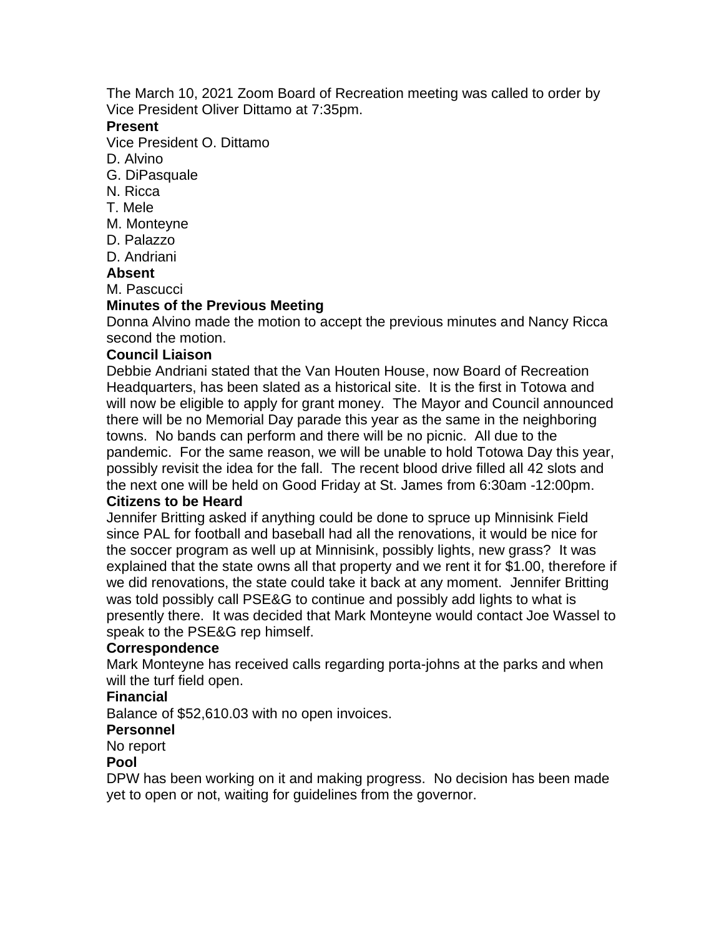The March 10, 2021 Zoom Board of Recreation meeting was called to order by Vice President Oliver Dittamo at 7:35pm.

#### **Present**

Vice President O. Dittamo

- D. Alvino
- G. DiPasquale
- N. Ricca
- T. Mele
- M. Monteyne
- D. Palazzo
- D. Andriani

#### **Absent**

M. Pascucci

## **Minutes of the Previous Meeting**

Donna Alvino made the motion to accept the previous minutes and Nancy Ricca second the motion.

#### **Council Liaison**

Debbie Andriani stated that the Van Houten House, now Board of Recreation Headquarters, has been slated as a historical site. It is the first in Totowa and will now be eligible to apply for grant money. The Mayor and Council announced there will be no Memorial Day parade this year as the same in the neighboring towns. No bands can perform and there will be no picnic. All due to the pandemic. For the same reason, we will be unable to hold Totowa Day this year, possibly revisit the idea for the fall. The recent blood drive filled all 42 slots and the next one will be held on Good Friday at St. James from 6:30am -12:00pm. **Citizens to be Heard**

Jennifer Britting asked if anything could be done to spruce up Minnisink Field since PAL for football and baseball had all the renovations, it would be nice for the soccer program as well up at Minnisink, possibly lights, new grass? It was explained that the state owns all that property and we rent it for \$1.00, therefore if we did renovations, the state could take it back at any moment. Jennifer Britting was told possibly call PSE&G to continue and possibly add lights to what is presently there. It was decided that Mark Monteyne would contact Joe Wassel to speak to the PSE&G rep himself.

## **Correspondence**

Mark Monteyne has received calls regarding porta-johns at the parks and when will the turf field open.

## **Financial**

Balance of \$52,610.03 with no open invoices.

## **Personnel**

No report

#### **Pool**

DPW has been working on it and making progress. No decision has been made yet to open or not, waiting for guidelines from the governor.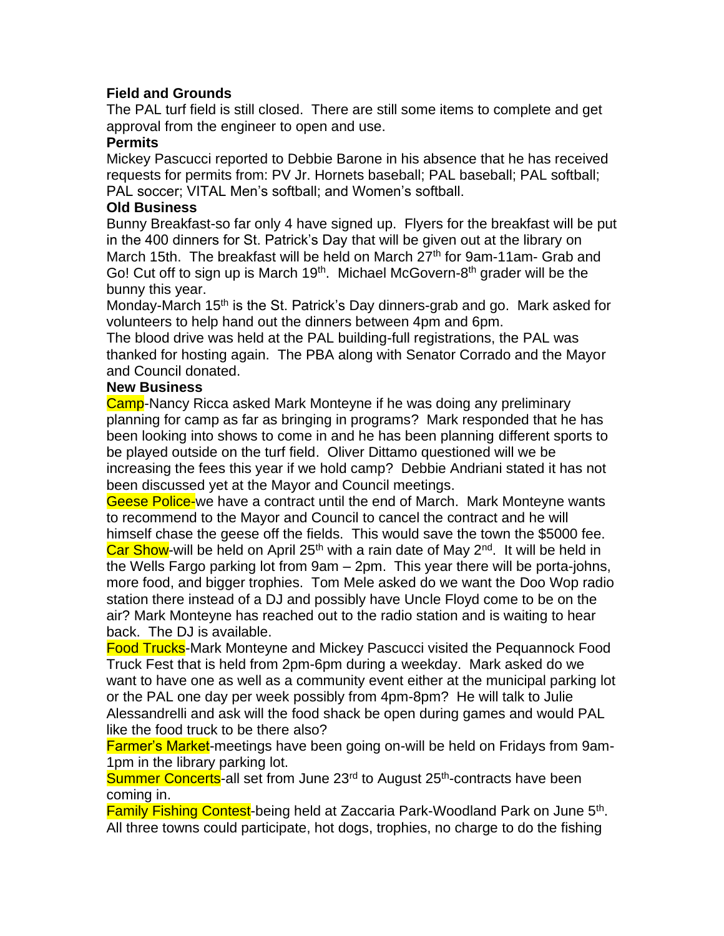# **Field and Grounds**

The PAL turf field is still closed. There are still some items to complete and get approval from the engineer to open and use.

# **Permits**

Mickey Pascucci reported to Debbie Barone in his absence that he has received requests for permits from: PV Jr. Hornets baseball; PAL baseball; PAL softball; PAL soccer; VITAL Men's softball; and Women's softball.

# **Old Business**

Bunny Breakfast-so far only 4 have signed up. Flyers for the breakfast will be put in the 400 dinners for St. Patrick's Day that will be given out at the library on March 15th. The breakfast will be held on March 27<sup>th</sup> for 9am-11am- Grab and Go! Cut off to sign up is March 19<sup>th</sup>. Michael McGovern-8<sup>th</sup> grader will be the bunny this year.

Monday-March 15<sup>th</sup> is the St. Patrick's Day dinners-grab and go. Mark asked for volunteers to help hand out the dinners between 4pm and 6pm.

The blood drive was held at the PAL building-full registrations, the PAL was thanked for hosting again. The PBA along with Senator Corrado and the Mayor and Council donated.

# **New Business**

Camp-Nancy Ricca asked Mark Monteyne if he was doing any preliminary planning for camp as far as bringing in programs? Mark responded that he has been looking into shows to come in and he has been planning different sports to be played outside on the turf field. Oliver Dittamo questioned will we be increasing the fees this year if we hold camp? Debbie Andriani stated it has not been discussed yet at the Mayor and Council meetings.

Geese Police-we have a contract until the end of March. Mark Monteyne wants to recommend to the Mayor and Council to cancel the contract and he will himself chase the geese off the fields. This would save the town the \$5000 fee. Car Show-will be held on April 25<sup>th</sup> with a rain date of May 2<sup>nd</sup>. It will be held in the Wells Fargo parking lot from 9am – 2pm. This year there will be porta-johns, more food, and bigger trophies. Tom Mele asked do we want the Doo Wop radio station there instead of a DJ and possibly have Uncle Floyd come to be on the air? Mark Monteyne has reached out to the radio station and is waiting to hear back. The DJ is available.

Food Trucks-Mark Monteyne and Mickey Pascucci visited the Pequannock Food Truck Fest that is held from 2pm-6pm during a weekday. Mark asked do we want to have one as well as a community event either at the municipal parking lot or the PAL one day per week possibly from 4pm-8pm? He will talk to Julie Alessandrelli and ask will the food shack be open during games and would PAL like the food truck to be there also?

Farmer's Market-meetings have been going on-will be held on Fridays from 9am-1pm in the library parking lot.

Summer Concerts-all set from June 23<sup>rd</sup> to August 25<sup>th</sup>-contracts have been coming in.

Family Fishing Contest-being held at Zaccaria Park-Woodland Park on June 5<sup>th</sup>. All three towns could participate, hot dogs, trophies, no charge to do the fishing